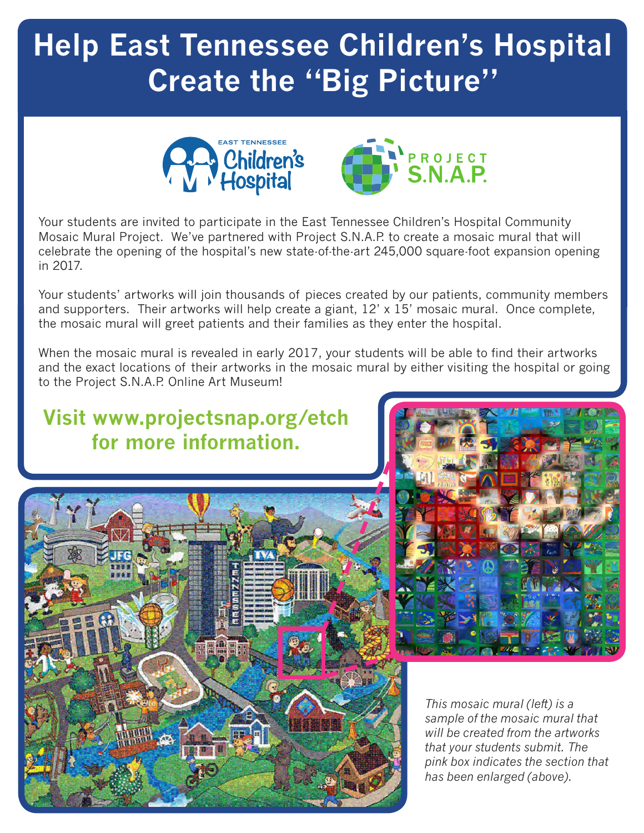# **Help East Tennessee Children's Hospital Create the "Big Picture"**



Your students are invited to participate in the East Tennessee Children's Hospital Community Mosaic Mural Project. We've partnered with Project S.N.A.P. to create a mosaic mural that will celebrate the opening of the hospital's new state-of-the-art 245,000 square-foot expansion opening in 2017.

Your students' artworks will join thousands of pieces created by our patients, community members and supporters. Their artworks will help create a giant, 12' x 15' mosaic mural. Once complete, the mosaic mural will greet patients and their families as they enter the hospital.

When the mosaic mural is revealed in early 2017, your students will be able to find their artworks and the exact locations of their artworks in the mosaic mural by either visiting the hospital or going to the Project S.N.A.P. Online Art Museum!

### **Visit www.projectsnap.org/etch for more information.**





*This mosaic mural (left) is a sample of the mosaic mural that will be created from the artworks that your students submit. The pink box indicates the section that has been enlarged (above).*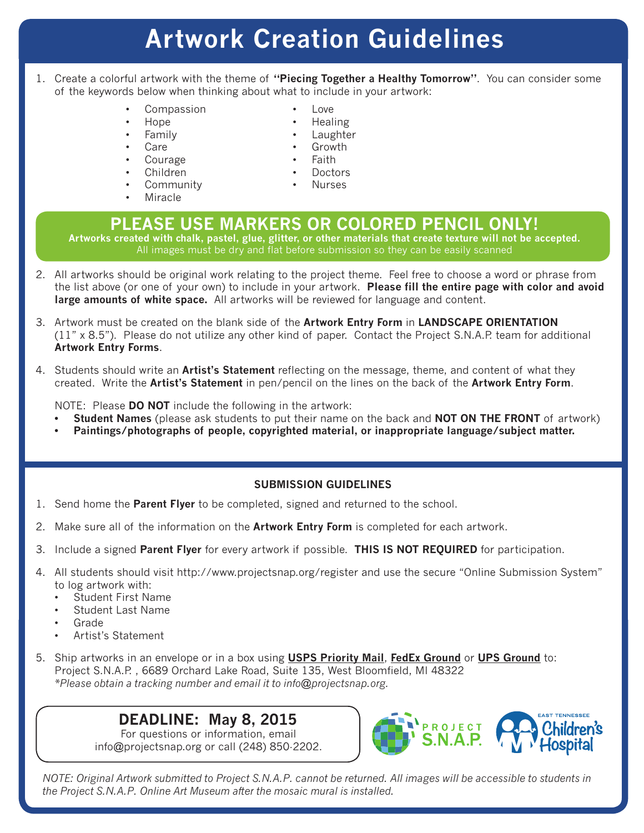## **Artwork Creation Guidelines**

- 1. Create a colorful artwork with the theme of **"Piecing Together a Healthy Tomorrow"**. You can consider some of the keywords below when thinking about what to include in your artwork:
	- **Compassion**
	- Hope
	- Family
	- Care
	- **Courage**
	- Children
	- **Community**
	- **Miracle**
- Healing
- **Laughter**
- Growth
- Faith
- **Doctors**
- Nurses

#### **PLEASE USE MARKERS OR COLORED PENCIL ONLY! Artworks created with chalk, pastel, glue, glitter, or other materials that create texture will not be accepted.**

All images must be dry and flat before submission so they can be easily scanned

- 2. All artworks should be original work relating to the project theme. Feel free to choose a word or phrase from the list above (or one of your own) to include in your artwork. **Please fill the entire page with color and avoid large amounts of white space.** All artworks will be reviewed for language and content.
- 3. Artwork must be created on the blank side of the **Artwork Entry Form** in **LANDSCAPE ORIENTATION**  (11" x 8.5"). Please do not utilize any other kind of paper. Contact the Project S.N.A.P. team for additional **Artwork Entry Forms**.
- 4. Students should write an **Artist's Statement** reflecting on the message, theme, and content of what they created. Write the **Artist's Statement** in pen/pencil on the lines on the back of the **Artwork Entry Form**.

NOTE: Please **DO NOT** include the following in the artwork:

- **• Student Names** (please ask students to put their name on the back and **NOT ON THE FRONT** of artwork)
- **• Paintings/photographs of people, copyrighted material, or inappropriate language/subject matter.**

#### **SUBMISSION GUIDELINES**

- 1. Send home the **Parent Flyer** to be completed, signed and returned to the school.
- 2. Make sure all of the information on the **Artwork Entry Form** is completed for each artwork.
- 3. Include a signed **Parent Flyer** for every artwork if possible. **THIS IS NOT REQUIRED** for participation.
- 4. All students should visit http://www.projectsnap.org/register and use the secure "Online Submission System" to log artwork with:
	- Student First Name
	- Student Last Name
	- Grade
	- Artist's Statement
- 5. Ship artworks in an envelope or in a box using **USPS Priority Mail**, **FedEx Ground** or **UPS Ground** to: Project S.N.A.P. , 6689 Orchard Lake Road, Suite 135, West Bloomfield, MI 48322 *\*Please obtain a tracking number and email it to info@projectsnap.org.*

#### **DEADLINE: May 8, 2015**

For questions or information, email info@projectsnap.org or call (248) 850-2202.



*NOTE: Original Artwork submitted to Project S.N.A.P. cannot be returned. All images will be accessible to students in the Project S.N.A.P. Online Art Museum after the mosaic mural is installed.* 

• Love